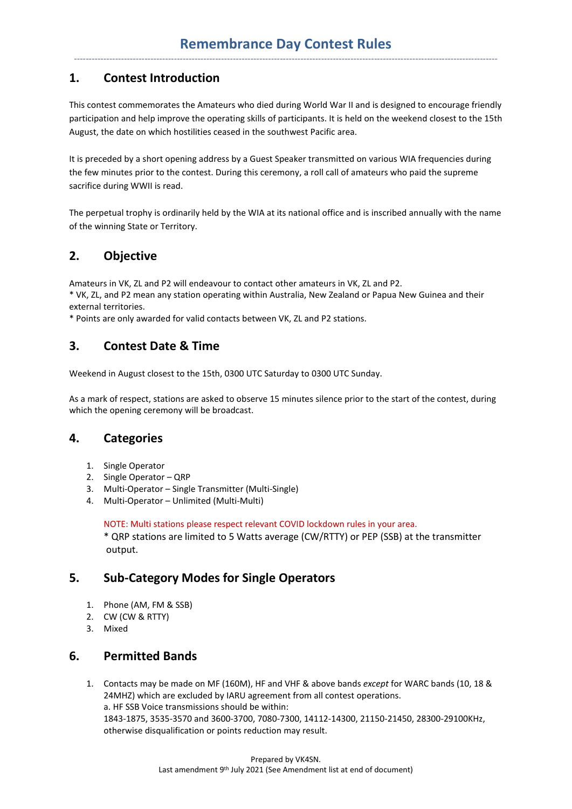# **1. Contest Introduction**

This contest commemorates the Amateurs who died during World War II and is designed to encourage friendly participation and help improve the operating skills of participants. It is held on the weekend closest to the 15th August, the date on which hostilities ceased in the southwest Pacific area.

It is preceded by a short opening address by a Guest Speaker transmitted on various WIA frequencies during the few minutes prior to the contest. During this ceremony, a roll call of amateurs who paid the supreme sacrifice during WWII is read.

The perpetual trophy is ordinarily held by the WIA at its national office and is inscribed annually with the name of the winning State or Territory.

# **2. Objective**

Amateurs in VK, ZL and P2 will endeavour to contact other amateurs in VK, ZL and P2.

\* VK, ZL, and P2 mean any station operating within Australia, New Zealand or Papua New Guinea and their external territories.

\* Points are only awarded for valid contacts between VK, ZL and P2 stations.

# **3. Contest Date & Time**

Weekend in August closest to the 15th, 0300 UTC Saturday to 0300 UTC Sunday.

As a mark of respect, stations are asked to observe 15 minutes silence prior to the start of the contest, during which the opening ceremony will be broadcast.

# **4. Categories**

- 1. Single Operator
- 2. Single Operator QRP
- 3. Multi-Operator Single Transmitter (Multi-Single)
- 4. Multi-Operator Unlimited (Multi-Multi)

NOTE: Multi stations please respect relevant COVID lockdown rules in your area.

\* QRP stations are limited to 5 Watts average (CW/RTTY) or PEP (SSB) at the transmitter output.

# **5. Sub-Category Modes for Single Operators**

- 1. Phone (AM, FM & SSB)
- 2. CW (CW & RTTY)
- 3. Mixed

#### **6. Permitted Bands**

1. Contacts may be made on MF (160M), HF and VHF & above bands *except* for WARC bands (10, 18 & 24MHZ) which are excluded by IARU agreement from all contest operations. a. HF SSB Voice transmissions should be within: 1843-1875, 3535-3570 and 3600-3700, 7080-7300, 14112-14300, 21150-21450, 28300-29100KHz, otherwise disqualification or points reduction may result.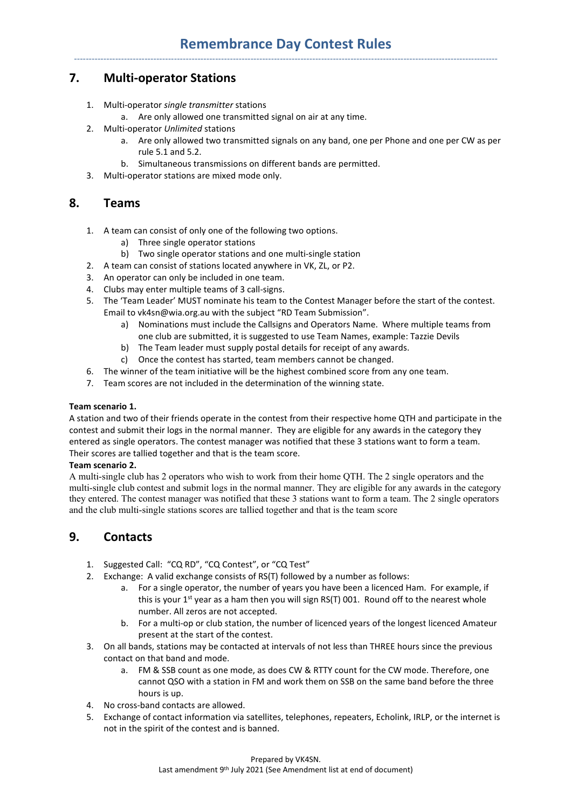# **7. Multi-operator Stations**

- 1. Multi-operator *single transmitter* stations
	- a. Are only allowed one transmitted signal on air at any time.
- 2. Multi-operator *Unlimited* stations
	- a. Are only allowed two transmitted signals on any band, one per Phone and one per CW as per rule 5.1 and 5.2.
	- b. Simultaneous transmissions on different bands are permitted.
- 3. Multi-operator stations are mixed mode only.

#### **8. Teams**

- 1. A team can consist of only one of the following two options.
	- a) Three single operator stations
	- b) Two single operator stations and one multi-single station
- 2. A team can consist of stations located anywhere in VK, ZL, or P2.
- 3. An operator can only be included in one team.
- 4. Clubs may enter multiple teams of 3 call-signs.
- 5. The 'Team Leader' MUST nominate his team to the Contest Manager before the start of the contest. Email to vk4sn@wia.org.au with the subject "RD Team Submission".
	- a) Nominations must include the Callsigns and Operators Name. Where multiple teams from one club are submitted, it is suggested to use Team Names, example: Tazzie Devils
	- b) The Team leader must supply postal details for receipt of any awards.
	- c) Once the contest has started, team members cannot be changed.
- 6. The winner of the team initiative will be the highest combined score from any one team.
- 7. Team scores are not included in the determination of the winning state.

#### **Team scenario 1.**

A station and two of their friends operate in the contest from their respective home QTH and participate in the contest and submit their logs in the normal manner. They are eligible for any awards in the category they entered as single operators. The contest manager was notified that these 3 stations want to form a team. Their scores are tallied together and that is the team score.

#### **Team scenario 2.**

A multi-single club has 2 operators who wish to work from their home QTH. The 2 single operators and the multi-single club contest and submit logs in the normal manner. They are eligible for any awards in the category they entered. The contest manager was notified that these 3 stations want to form a team. The 2 single operators and the club multi-single stations scores are tallied together and that is the team score

# **9. Contacts**

- 1. Suggested Call: "CQ RD", "CQ Contest", or "CQ Test"
- 2. Exchange: A valid exchange consists of RS(T) followed by a number as follows:
	- a. For a single operator, the number of years you have been a licenced Ham. For example, if this is your  $1^{st}$  year as a ham then you will sign RS(T) 001. Round off to the nearest whole number. All zeros are not accepted.
	- b. For a multi-op or club station, the number of licenced years of the longest licenced Amateur present at the start of the contest.
- 3. On all bands, stations may be contacted at intervals of not less than THREE hours since the previous contact on that band and mode.
	- a. FM & SSB count as one mode, as does CW & RTTY count for the CW mode. Therefore, one cannot QSO with a station in FM and work them on SSB on the same band before the three hours is up.
- 4. No cross-band contacts are allowed.
- 5. Exchange of contact information via satellites, telephones, repeaters, Echolink, IRLP, or the internet is not in the spirit of the contest and is banned.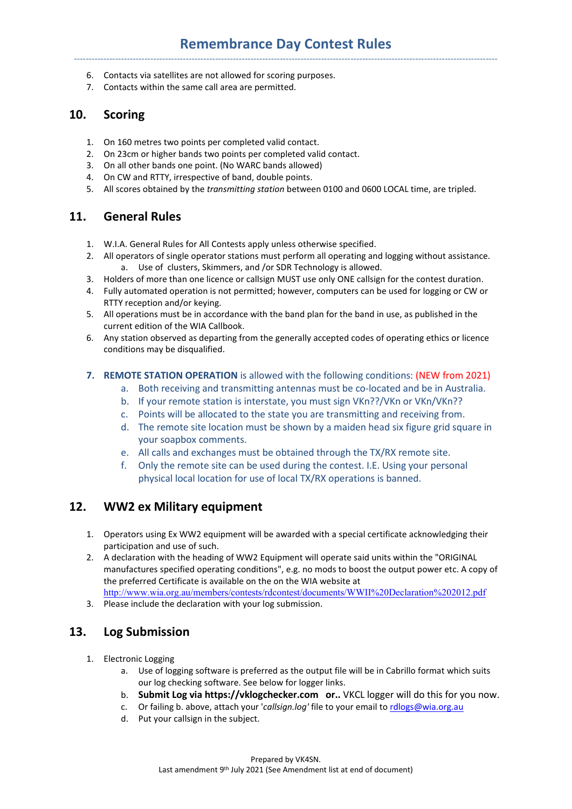- 6. Contacts via satellites are not allowed for scoring purposes.
- 7. Contacts within the same call area are permitted.

### **10. Scoring**

- 1. On 160 metres two points per completed valid contact.
- 2. On 23cm or higher bands two points per completed valid contact.
- 3. On all other bands one point. (No WARC bands allowed)
- 4. On CW and RTTY, irrespective of band, double points.
- 5. All scores obtained by the *transmitting station* between 0100 and 0600 LOCAL time, are tripled.

### **11. General Rules**

- 1. W.I.A. General Rules for All Contests apply unless otherwise specified.
- 2. All operators of single operator stations must perform all operating and logging without assistance. a. Use of clusters, Skimmers, and /or SDR Technology is allowed.
- 3. Holders of more than one licence or callsign MUST use only ONE callsign for the contest duration.
- 4. Fully automated operation is not permitted; however, computers can be used for logging or CW or RTTY reception and/or keying.
- 5. All operations must be in accordance with the band plan for the band in use, as published in the current edition of the WIA Callbook.
- 6. Any station observed as departing from the generally accepted codes of operating ethics or licence conditions may be disqualified.

#### **7. REMOTE STATION OPERATION** is allowed with the following conditions: (NEW from 2021)

- a. Both receiving and transmitting antennas must be co-located and be in Australia.
- b. If your remote station is interstate, you must sign VKn??/VKn or VKn/VKn??
- c. Points will be allocated to the state you are transmitting and receiving from.
- d. The remote site location must be shown by a maiden head six figure grid square in your soapbox comments.
- e. All calls and exchanges must be obtained through the TX/RX remote site.
- f. Only the remote site can be used during the contest. I.E. Using your personal physical local location for use of local TX/RX operations is banned.

# **12. WW2 ex Military equipment**

- 1. Operators using Ex WW2 equipment will be awarded with a special certificate acknowledging their participation and use of such.
- 2. A declaration with the heading of WW2 Equipment will operate said units within the "ORIGINAL manufactures specified operating conditions", e.g. no mods to boost the output power etc. A copy of the preferred Certificate is available on the on the WIA website at http://www.wia.org.au/members/contests/rdcontest/documents/WWII%20Declaration%202012.pdf
- 3. Please include the declaration with your log submission.

# **13. Log Submission**

- 1. Electronic Logging
	- a. Use of logging software is preferred as the output file will be in Cabrillo format which suits our log checking software. See below for logger links.
	- b. **Submit Log via https://vklogchecker.com or..** VKCL logger will do this for you now.
	- c. Or failing b. above, attach your '*callsign.log'* file to your email to rdlogs@wia.org.au
	- d. Put your callsign in the subject.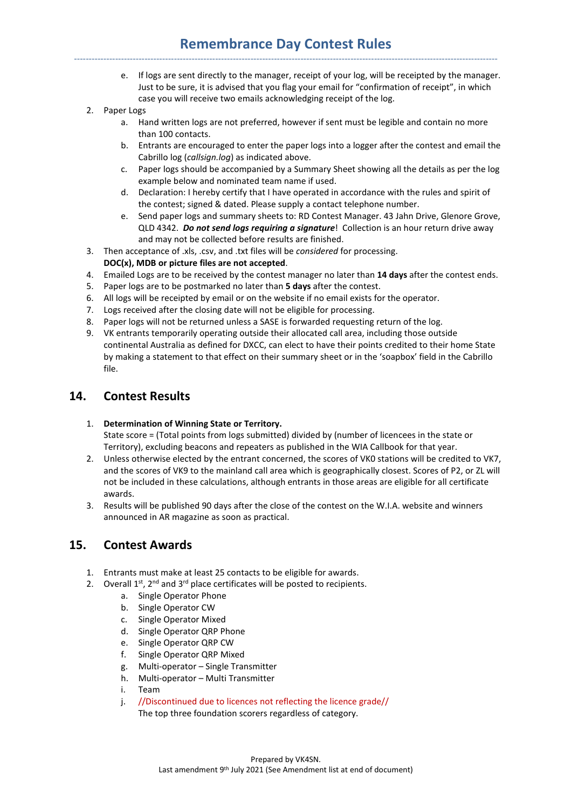# **Remembrance Day Contest Rules**  ------------------------------------------------------------------------------------------------------------------------------------------------

- e. If logs are sent directly to the manager, receipt of your log, will be receipted by the manager. Just to be sure, it is advised that you flag your email for "confirmation of receipt", in which case you will receive two emails acknowledging receipt of the log.
- 2. Paper Logs
	- a. Hand written logs are not preferred, however if sent must be legible and contain no more than 100 contacts.
	- b. Entrants are encouraged to enter the paper logs into a logger after the contest and email the Cabrillo log (*callsign.log*) as indicated above.
	- c. Paper logs should be accompanied by a Summary Sheet showing all the details as per the log example below and nominated team name if used.
	- d. Declaration: I hereby certify that I have operated in accordance with the rules and spirit of the contest; signed & dated. Please supply a contact telephone number.
	- e. Send paper logs and summary sheets to: RD Contest Manager. 43 Jahn Drive, Glenore Grove, QLD 4342. *Do not send logs requiring a signature*! Collection is an hour return drive away and may not be collected before results are finished.
- 3. Then acceptance of .xls, .csv, and .txt files will be *considered* for processing. **DOC(x), MDB or picture files are not accepted**.
- 4. Emailed Logs are to be received by the contest manager no later than **14 days** after the contest ends.
- 5. Paper logs are to be postmarked no later than **5 days** after the contest.
- 6. All logs will be receipted by email or on the website if no email exists for the operator.
- 7. Logs received after the closing date will not be eligible for processing.
- 8. Paper logs will not be returned unless a SASE is forwarded requesting return of the log.
- 9. VK entrants temporarily operating outside their allocated call area, including those outside continental Australia as defined for DXCC, can elect to have their points credited to their home State by making a statement to that effect on their summary sheet or in the 'soapbox' field in the Cabrillo file.

#### **14. Contest Results**

#### 1. **Determination of Winning State or Territory.**

State score = (Total points from logs submitted) divided by (number of licencees in the state or Territory), excluding beacons and repeaters as published in the WIA Callbook for that year.

- 2. Unless otherwise elected by the entrant concerned, the scores of VK0 stations will be credited to VK7, and the scores of VK9 to the mainland call area which is geographically closest. Scores of P2, or ZL will not be included in these calculations, although entrants in those areas are eligible for all certificate awards.
- 3. Results will be published 90 days after the close of the contest on the W.I.A. website and winners announced in AR magazine as soon as practical.

#### **15. Contest Awards**

- 1. Entrants must make at least 25 contacts to be eligible for awards.
- 2. Overall  $1^{st}$ ,  $2^{nd}$  and  $3^{rd}$  place certificates will be posted to recipients.
	- a. Single Operator Phone
	- b. Single Operator CW
	- c. Single Operator Mixed
	- d. Single Operator QRP Phone
	- e. Single Operator QRP CW
	- f. Single Operator QRP Mixed
	- g. Multi-operator Single Transmitter
	- h. Multi-operator Multi Transmitter
	- i. Team
	- j. //Discontinued due to licences not reflecting the licence grade//

The top three foundation scorers regardless of category.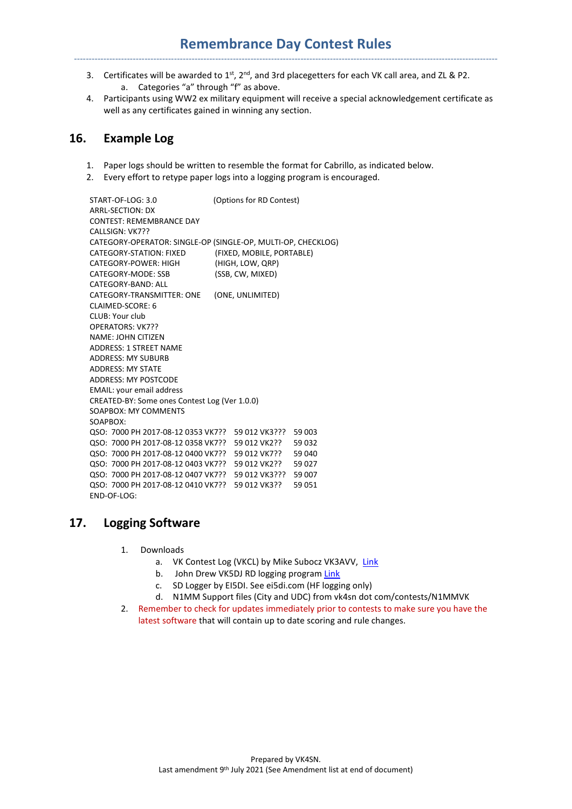## **Remembrance Day Contest Rules**  ------------------------------------------------------------------------------------------------------------------------------------------------

- 3. Certificates will be awarded to  $1^{st}$ ,  $2^{nd}$ , and 3rd placegetters for each VK call area, and ZL & P2. a. Categories "a" through "f" as above.
- 4. Participants using WW2 ex military equipment will receive a special acknowledgement certificate as well as any certificates gained in winning any section.

#### **16. Example Log**

- 1. Paper logs should be written to resemble the format for Cabrillo, as indicated below.
- 2. Every effort to retype paper logs into a logging program is encouraged.

START-OF-LOG: 3.0 (Options for RD Contest) ARRL-SECTION: DX CONTEST: REMEMBRANCE DAY CALLSIGN: VK7?? CATEGORY-OPERATOR: SINGLE-OP (SINGLE-OP, MULTI-OP, CHECKLOG) CATEGORY-STATION: FIXED (FIXED, MOBILE, PORTABLE) CATEGORY-POWER: HIGH (HIGH, LOW, QRP) CATEGORY-MODE: SSB (SSB, CW, MIXED) CATEGORY-BAND: ALL CATEGORY-TRANSMITTER: ONE (ONE, UNLIMITED) CLAIMED-SCORE: 6 CLUB: Your club OPERATORS: VK7?? NAME: JOHN CITIZEN ADDRESS: 1 STREET NAME ADDRESS: MY SUBURB ADDRESS: MY STATE ADDRESS: MY POSTCODE EMAIL: your email address CREATED-BY: Some ones Contest Log (Ver 1.0.0) SOAPBOX: MY COMMENTS SOAPBOX: QSO: 7000 PH 2017-08-12 0353 VK7?? 59 012 VK3??? 59 003 QSO: 7000 PH 2017-08-12 0358 VK7?? 59 012 VK2?? 59 032 QSO: 7000 PH 2017-08-12 0400 VK7?? 59 012 VK7?? 59 040 QSO: 7000 PH 2017-08-12 0403 VK7?? 59 012 VK2?? 59 027 QSO: 7000 PH 2017-08-12 0407 VK7?? 59 012 VK3??? 59 007 QSO: 7000 PH 2017-08-12 0410 VK7?? 59 012 VK3?? 59 051 END-OF-LOG:

# **17. Logging Software**

- 1. Downloads
	- a. VK Contest Log (VKCL) by Mike Subocz VK3AVV, Link
	- b. John Drew VK5DJ RD logging program Link
	- c. SD Logger by EI5DI. See ei5di.com (HF logging only)
	- d. N1MM Support files (City and UDC) from vk4sn dot com/contests/N1MMVK
- 2. Remember to check for updates immediately prior to contests to make sure you have the latest software that will contain up to date scoring and rule changes.